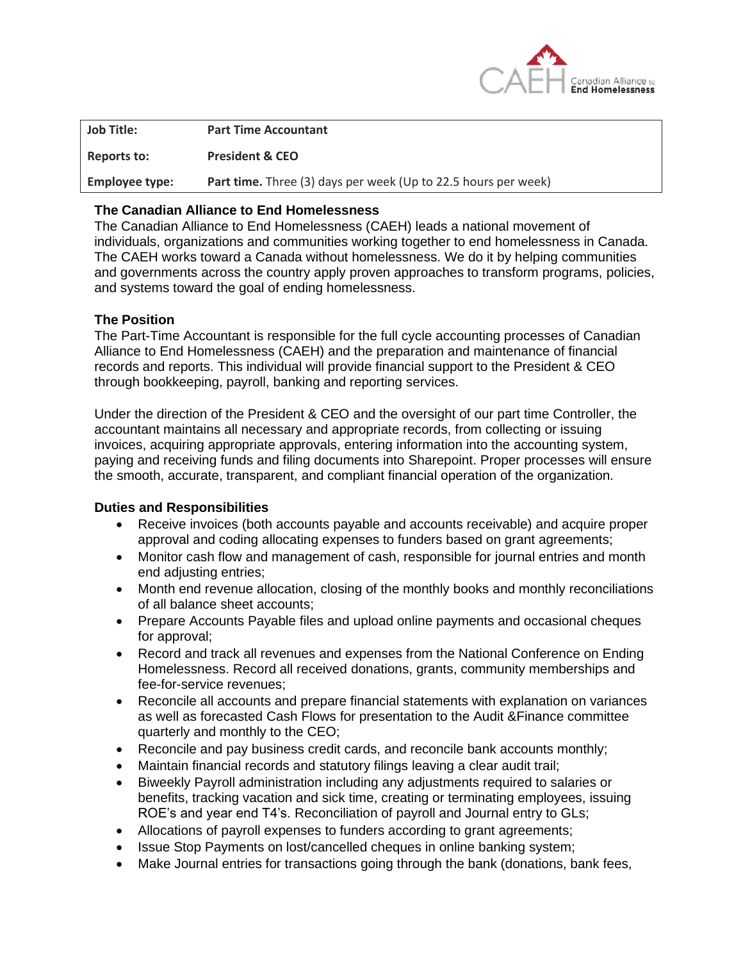

| <b>Job Title:</b>     | <b>Part Time Accountant</b>                                           |
|-----------------------|-----------------------------------------------------------------------|
| Reports to:           | <b>President &amp; CEO</b>                                            |
| <b>Employee type:</b> | <b>Part time.</b> Three (3) days per week (Up to 22.5 hours per week) |
|                       |                                                                       |

### **The Canadian Alliance to End Homelessness**

The Canadian Alliance to End Homelessness [\(CAEH\)](http://www.caeh.ca/) leads a national movement of individuals, organizations and communities working together to end homelessness in Canada. The CAEH works toward a Canada without homelessness. We do it by helping communities and governments across the country apply proven approaches to transform programs, policies, and systems toward the goal of ending homelessness.

### **The Position**

The Part-Time Accountant is responsible for the full cycle accounting processes of Canadian Alliance to End Homelessness (CAEH) and the preparation and maintenance of financial records and reports. This individual will provide financial support to the President & CEO through bookkeeping, payroll, banking and reporting services.

Under the direction of the President & CEO and the oversight of our part time Controller, the accountant maintains all necessary and appropriate records, from collecting or issuing invoices, acquiring appropriate approvals, entering information into the accounting system, paying and receiving funds and filing documents into Sharepoint. Proper processes will ensure the smooth, accurate, transparent, and compliant financial operation of the organization.

#### **Duties and Responsibilities**

- Receive invoices (both accounts payable and accounts receivable) and acquire proper approval and coding allocating expenses to funders based on grant agreements;
- Monitor cash flow and management of cash, responsible for journal entries and month end adjusting entries;
- Month end revenue allocation, closing of the monthly books and monthly reconciliations of all balance sheet accounts;
- Prepare Accounts Payable files and upload online payments and occasional cheques for approval;
- Record and track all revenues and expenses from the National Conference on Ending Homelessness. Record all received donations, grants, community memberships and fee-for-service revenues;
- Reconcile all accounts and prepare financial statements with explanation on variances as well as forecasted Cash Flows for presentation to the Audit &Finance committee quarterly and monthly to the CEO;
- Reconcile and pay business credit cards, and reconcile bank accounts monthly;
- Maintain financial records and statutory filings leaving a clear audit trail;
- Biweekly Payroll administration including any adjustments required to salaries or benefits, tracking vacation and sick time, creating or terminating employees, issuing ROE's and year end T4's. Reconciliation of payroll and Journal entry to GLs;
- Allocations of payroll expenses to funders according to grant agreements;
- Issue Stop Payments on lost/cancelled cheques in online banking system;
- Make Journal entries for transactions going through the bank (donations, bank fees,